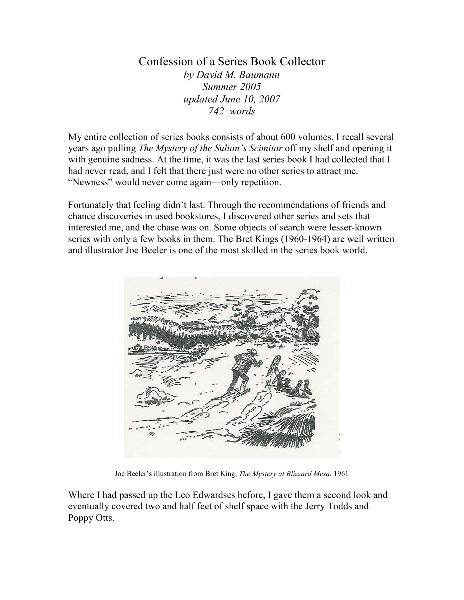Confession of a Series Book Collector by David M. Baumann Summer 2005 updated June 10, 2007 742 words

My entire collection of series books consists of about 600 volumes. I recall several years ago pulling The Mystery of the Sultan's Scimitar off my shelf and opening it with genuine sadness. At the time, it was the last series book I had collected that I had never read, and I felt that there just were no other series to attract me. "Newness" would never come again—only repetition.

Fortunately that feeling didn't last. Through the recommendations of friends and chance discoveries in used bookstores, I discovered other series and sets that interested me, and the chase was on. Some objects of search were lesser-known series with only a few books in them. The Bret Kings (1960-1964) are well written and illustrator Joe Beeler is one of the most skilled in the series book world.



Joe Beeler's illustration from Bret King, The Mystery at Blizzard Mesa, 1961

Where I had passed up the Leo Edwardses before, I gave them a second look and eventually covered two and half feet of shelf space with the Jerry Todds and Poppy Otts.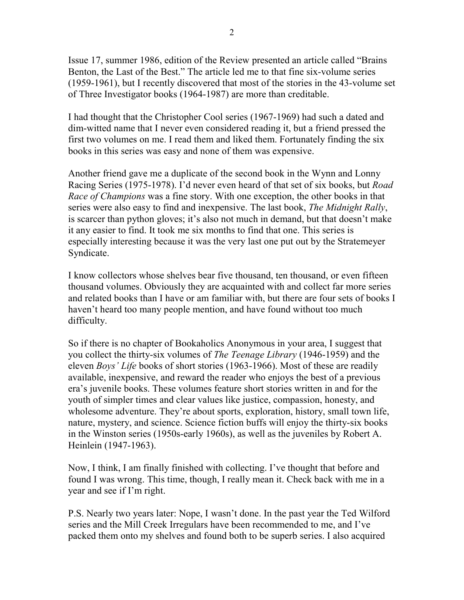Issue 17, summer 1986, edition of the Review presented an article called "Brains Benton, the Last of the Best." The article led me to that fine six-volume series (1959-1961), but I recently discovered that most of the stories in the 43-volume set of Three Investigator books (1964-1987) are more than creditable.

I had thought that the Christopher Cool series (1967-1969) had such a dated and dim-witted name that I never even considered reading it, but a friend pressed the first two volumes on me. I read them and liked them. Fortunately finding the six books in this series was easy and none of them was expensive.

Another friend gave me a duplicate of the second book in the Wynn and Lonny Racing Series (1975-1978). I'd never even heard of that set of six books, but *Road* Race of Champions was a fine story. With one exception, the other books in that series were also easy to find and inexpensive. The last book, The Midnight Rally, is scarcer than python gloves; it's also not much in demand, but that doesn't make it any easier to find. It took me six months to find that one. This series is especially interesting because it was the very last one put out by the Stratemeyer Syndicate.

I know collectors whose shelves bear five thousand, ten thousand, or even fifteen thousand volumes. Obviously they are acquainted with and collect far more series and related books than I have or am familiar with, but there are four sets of books I haven't heard too many people mention, and have found without too much difficulty.

So if there is no chapter of Bookaholics Anonymous in your area, I suggest that you collect the thirty-six volumes of The Teenage Library (1946-1959) and the eleven Boys' Life books of short stories (1963-1966). Most of these are readily available, inexpensive, and reward the reader who enjoys the best of a previous era's juvenile books. These volumes feature short stories written in and for the youth of simpler times and clear values like justice, compassion, honesty, and wholesome adventure. They're about sports, exploration, history, small town life, nature, mystery, and science. Science fiction buffs will enjoy the thirty-six books in the Winston series (1950s-early 1960s), as well as the juveniles by Robert A. Heinlein (1947-1963).

Now, I think, I am finally finished with collecting. I've thought that before and found I was wrong. This time, though, I really mean it. Check back with me in a year and see if I'm right.

P.S. Nearly two years later: Nope, I wasn't done. In the past year the Ted Wilford series and the Mill Creek Irregulars have been recommended to me, and I've packed them onto my shelves and found both to be superb series. I also acquired